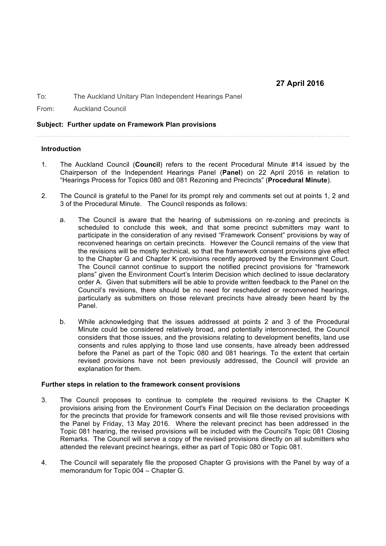## **27 April 2016**

To: The Auckland Unitary Plan Independent Hearings Panel

From: Auckland Council

**Subject: Further update on Framework Plan provisions**

## **Introduction**

- 1. The Auckland Council (**Council**) refers to the recent Procedural Minute #14 issued by the Chairperson of the Independent Hearings Panel (**Panel**) on 22 April 2016 in relation to "Hearings Process for Topics 080 and 081 Rezoning and Precincts" (**Procedural Minute**).
- 2. The Council is grateful to the Panel for its prompt rely and comments set out at points 1, 2 and 3 of the Procedural Minute. The Council responds as follows:
	- a. The Council is aware that the hearing of submissions on re-zoning and precincts is scheduled to conclude this week, and that some precinct submitters may want to participate in the consideration of any revised "Framework Consent" provisions by way of reconvened hearings on certain precincts. However the Council remains of the view that the revisions will be mostly technical, so that the framework consent provisions give effect to the Chapter G and Chapter K provisions recently approved by the Environment Court. The Council cannot continue to support the notified precinct provisions for "framework plans" given the Environment Court's Interim Decision which declined to issue declaratory order A. Given that submitters will be able to provide written feedback to the Panel on the Council's revisions, there should be no need for rescheduled or reconvened hearings, particularly as submitters on those relevant precincts have already been heard by the Panel.
	- b. While acknowledging that the issues addressed at points 2 and 3 of the Procedural Minute could be considered relatively broad, and potentially interconnected, the Council considers that those issues, and the provisions relating to development benefits, land use consents and rules applying to those land use consents, have already been addressed before the Panel as part of the Topic 080 and 081 hearings. To the extent that certain revised provisions have not been previously addressed, the Council will provide an explanation for them.

## **Further steps in relation to the framework consent provisions**

- 3. The Council proposes to continue to complete the required revisions to the Chapter K provisions arising from the Environment Court's Final Decision on the declaration proceedings for the precincts that provide for framework consents and will file those revised provisions with the Panel by Friday, 13 May 2016. Where the relevant precinct has been addressed in the Topic 081 hearing, the revised provisions will be included with the Council's Topic 081 Closing Remarks. The Council will serve a copy of the revised provisions directly on all submitters who attended the relevant precinct hearings, either as part of Topic 080 or Topic 081.
- 4. The Council will separately file the proposed Chapter G provisions with the Panel by way of a memorandum for Topic 004 – Chapter G.